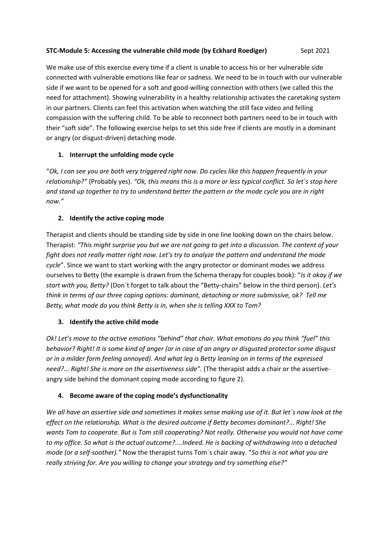# **STC-Module 5: Accessing the vulnerable child mode (by Eckhard Roediger)** Sept 2021

We make use of this exercise every time if a client is unable to access his or her vulnerable side connected with vulnerable emotions like fear or sadness. We need to be in touch with our vulnerable side if we want to be opened for a soft and good-willing connection with others (we called this the need for attachment). Showing vulnerability in a healthy relationship activates the caretaking system in our partners. Clients can feel this activation when watching the still face video and felling compassion with the suffering child. To be able to reconnect both partners need to be in touch with their "soft side". The following exercise helps to set this side free if clients are mostly in a dominant or angry (or disgust-driven) detaching mode.

# **1. Interrupt the unfolding mode cycle**

"*Ok, I can see you are both very triggered right now. Do cycles like this happen frequently in your relationship?"* (Probably yes). *"Ok, this means this is a more or less typical conflict. So let´s stop here and stand up together to try to understand better the pattern or the mode cycle you are in right now."*

# **2. Identify the active coping mode**

Therapist and clients should be standing side by side in one line looking down on the chairs below. Therapist: *"This might surprise you but we are not going to get into a discussion. The content of your fight does not really matter right now. Let's try to analyze the pattern and understand the mode cycle*". Since we want to start working with the angry protector or dominant modes we address ourselves to Betty (the example is drawn from the Schema therapy for couples book): "*Is it okay if we start with you, Betty?* (Don´t forget to talk about the "Betty-chairs" below in the third person). *Let's think in terms of our three coping options: dominant, detaching or more submissive,* o*k? Tell me Betty, what mode do you think Betty is in, when she is telling XXX to Tom?* 

### **3. Identify the active child mode**

*Ok! Let's move to the active emotions "behind" that chair. What emotions do you think "fuel" this behavior? Right! It is some kind of anger (or in case of an angry or disgusted protector some disgust or in a milder form feeling annoyed). And what leg is Betty leaning on in terms of the expressed need?... Right! She is more on the assertiveness side".* (The therapist adds a chair or the assertiveangry side behind the dominant coping mode according to figure 2).

### **4. Become aware of the coping mode's dysfunctionality**

*We all have an assertive side and sometimes it makes sense making use of it. But let´s now look at the effect on the relationship. What is the desired outcome if Betty becomes dominant?... Right! She wants Tom to cooperate. But is Tom still cooperating? Not really. Otherwise you would not have come to my office. So what is the actual outcome?....Indeed. He is backing of withdrawing into a detached mode (or a self-soother)."* Now the therapist turns Tom´s chair away. "*So this is not what you are really striving for. Are you willing to change your strategy and try something else?"*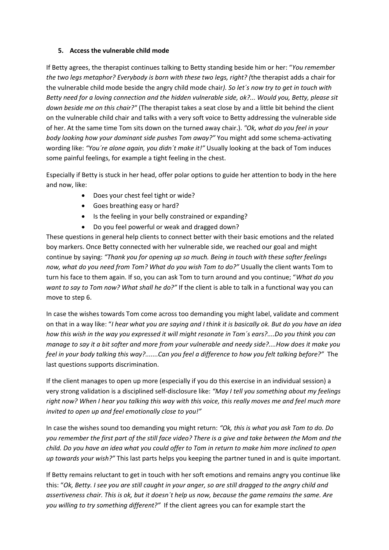#### **5. Access the vulnerable child mode**

If Betty agrees, the therapist continues talking to Betty standing beside him or her: "*You remember the two legs metaphor? Everybody is born with these two legs, right? (*the therapist adds a chair for the vulnerable child mode beside the angry child mode chair*). So let´s now try to get in touch with Betty need for a loving connection and the hidden vulnerable side, ok?... Would you, Betty, please sit down beside me on this chair?"* (The therapist takes a seat close by and a little bit behind the client on the vulnerable child chair and talks with a very soft voice to Betty addressing the vulnerable side of her. At the same time Tom sits down on the turned away chair.). *"Ok, what do you feel in your body looking how your dominant side pushes Tom away?"* You might add some schema-activating wording like: *"You´re alone again, you didn´t make it!"* Usually looking at the back of Tom induces some painful feelings, for example a tight feeling in the chest.

Especially if Betty is stuck in her head, offer polar options to guide her attention to body in the here and now, like:

- Does your chest feel tight or wide?
- Goes breathing easy or hard?
- Is the feeling in your belly constrained or expanding?
- Do you feel powerful or weak and dragged down?

These questions in general help clients to connect better with their basic emotions and the related boy markers. Once Betty connected with her vulnerable side, we reached our goal and might continue by saying: *"Thank you for opening up so much. Being in touch with these softer feelings now, what do you need from Tom? What do you wish Tom to do?"* Usually the client wants Tom to turn his face to them again. If so, you can ask Tom to turn around and you continue; "*What do you want to say to Tom now? What shall he do?"* If the client is able to talk in a functional way you can move to step 6.

In case the wishes towards Tom come across too demanding you might label, validate and comment on that in a way like: "*I hear what you are saying and I think it is basically ok. But do you have an idea how this wish in the way you expressed it will might resonate in Tom´s ears?....Do you think you can manage to say it a bit softer and more from your vulnerable and needy side?....How does it make you feel in your body talking this way?.......Can you feel a difference to how you felt talking before?"* The last questions supports discrimination.

If the client manages to open up more (especially if you do this exercise in an individual session) a very strong validation is a disciplined self-disclosure like: *"May I tell you something about my feelings right now? When I hear you talking this way with this voice, this really moves me and feel much more invited to open up and feel emotionally close to you!"*

In case the wishes sound too demanding you might return: *"Ok, this is what you ask Tom to do. Do you remember the first part of the still face video? There is a give and take between the Mom and the child. Do you have an idea what you could offer to Tom in return to make him more inclined to open up towards your wish?"* This last parts helps you keeping the partner tuned in and is quite important.

If Betty remains reluctant to get in touch with her soft emotions and remains angry you continue like this: "*Ok, Betty. I see you are still caught in your anger, so are still dragged to the angry child and assertiveness chair. This is ok, but it doesn´t help us now, because the game remains the same. Are you willing to try something different?"* If the client agrees you can for example start the